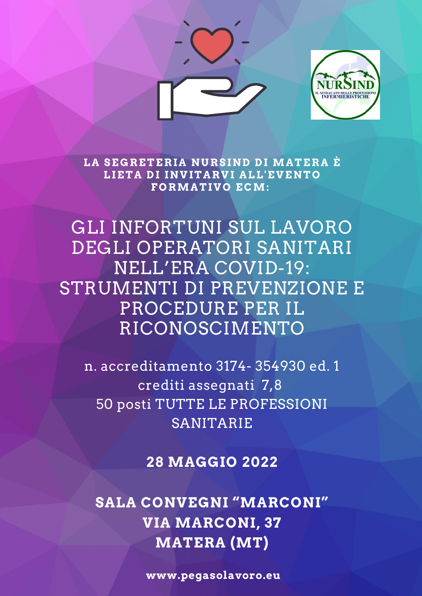



**L A SEGR ETE R I A N UR SI N D D I MA TE R A È LIET A D I I N V IT A R V I A LL'E V E N TO FORMA TI VO ECM:**

GLI INFORTUNI SUL LAVORO DEGLI OPERATORI SANITARI NELL'ERA COVID-19: STRUMENTI DI PREVENZIONE E PROCEDURE PER IL RICONOSCIMENTO

n. accreditamento 3174- 354930 ed. 1 crediti assegnati 7,8 50 posti TUTTE LE PROFESSIONI SANITARIE

**28 MAGGIO 2022**

**SALA CONVEGNI "MARCONI" VIA MARCONI, 37 MATERA (MT)**

**www.pegasolavoro.eu**